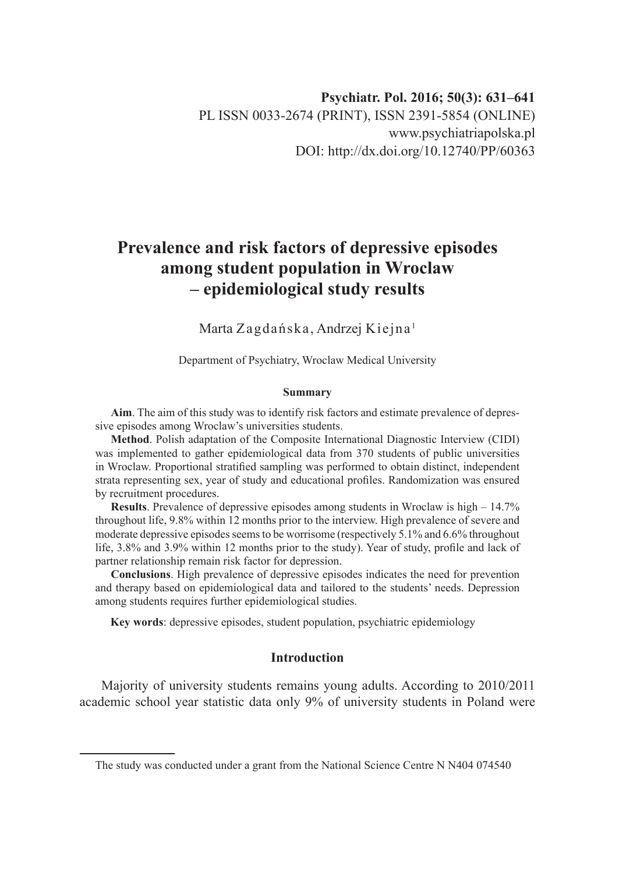# **Prevalence and risk factors of depressive episodes among student population in Wroclaw – epidemiological study results**

Marta Zagdańska, Andrzej Kiejna <sup>1</sup>

Department of Psychiatry, Wroclaw Medical University

#### **Summary**

**Aim**. The aim of this study was to identify risk factors and estimate prevalence of depressive episodes among Wroclaw's universities students.

**Method**. Polish adaptation of the Composite International Diagnostic Interview (CIDI) was implemented to gather epidemiological data from 370 students of public universities in Wroclaw. Proportional stratified sampling was performed to obtain distinct, independent strata representing sex, year of study and educational profiles. Randomization was ensured by recruitment procedures.

**Results**. Prevalence of depressive episodes among students in Wroclaw is high – 14.7% throughout life, 9.8% within 12 months prior to the interview. High prevalence of severe and moderate depressive episodes seems to be worrisome (respectively 5.1% and 6.6% throughout life, 3.8% and 3.9% within 12 months prior to the study). Year of study, profile and lack of partner relationship remain risk factor for depression.

**Conclusions**. High prevalence of depressive episodes indicates the need for prevention and therapy based on epidemiological data and tailored to the students' needs. Depression among students requires further epidemiological studies.

**Key words**: depressive episodes, student population, psychiatric epidemiology

## **Introduction**

Majority of university students remains young adults. According to 2010/2011 academic school year statistic data only 9% of university students in Poland were

The study was conducted under a grant from the National Science Centre N N404 074540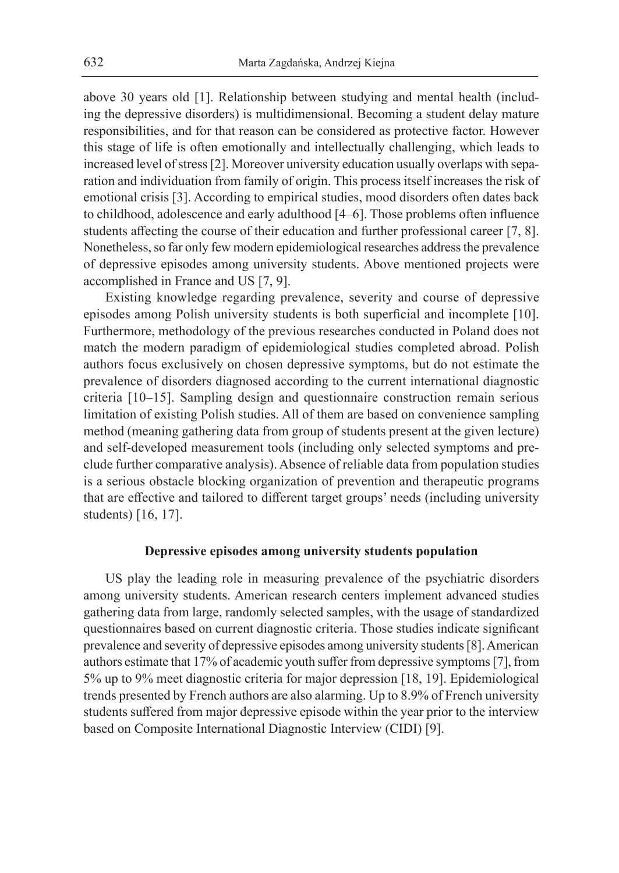above 30 years old [1]. Relationship between studying and mental health (including the depressive disorders) is multidimensional. Becoming a student delay mature responsibilities, and for that reason can be considered as protective factor. However this stage of life is often emotionally and intellectually challenging, which leads to increased level of stress [2]. Moreover university education usually overlaps with separation and individuation from family of origin. This process itself increases the risk of emotional crisis [3]. According to empirical studies, mood disorders often dates back to childhood, adolescence and early adulthood [4–6]. Those problems often influence students affecting the course of their education and further professional career [7, 8]. Nonetheless, so far only few modern epidemiological researches address the prevalence of depressive episodes among university students. Above mentioned projects were accomplished in France and US [7, 9].

Existing knowledge regarding prevalence, severity and course of depressive episodes among Polish university students is both superficial and incomplete [10]. Furthermore, methodology of the previous researches conducted in Poland does not match the modern paradigm of epidemiological studies completed abroad. Polish authors focus exclusively on chosen depressive symptoms, but do not estimate the prevalence of disorders diagnosed according to the current international diagnostic criteria [10–15]. Sampling design and questionnaire construction remain serious limitation of existing Polish studies. All of them are based on convenience sampling method (meaning gathering data from group of students present at the given lecture) and self-developed measurement tools (including only selected symptoms and preclude further comparative analysis). Absence of reliable data from population studies is a serious obstacle blocking organization of prevention and therapeutic programs that are effective and tailored to different target groups' needs (including university students) [16, 17].

## **Depressive episodes among university students population**

US play the leading role in measuring prevalence of the psychiatric disorders among university students. American research centers implement advanced studies gathering data from large, randomly selected samples, with the usage of standardized questionnaires based on current diagnostic criteria. Those studies indicate significant prevalence and severity of depressive episodes among university students [8]. American authors estimate that 17% of academic youth suffer from depressive symptoms [7], from 5% up to 9% meet diagnostic criteria for major depression [18, 19]. Epidemiological trends presented by French authors are also alarming. Up to 8.9% of French university students suffered from major depressive episode within the year prior to the interview based on Composite International Diagnostic Interview (CIDI) [9].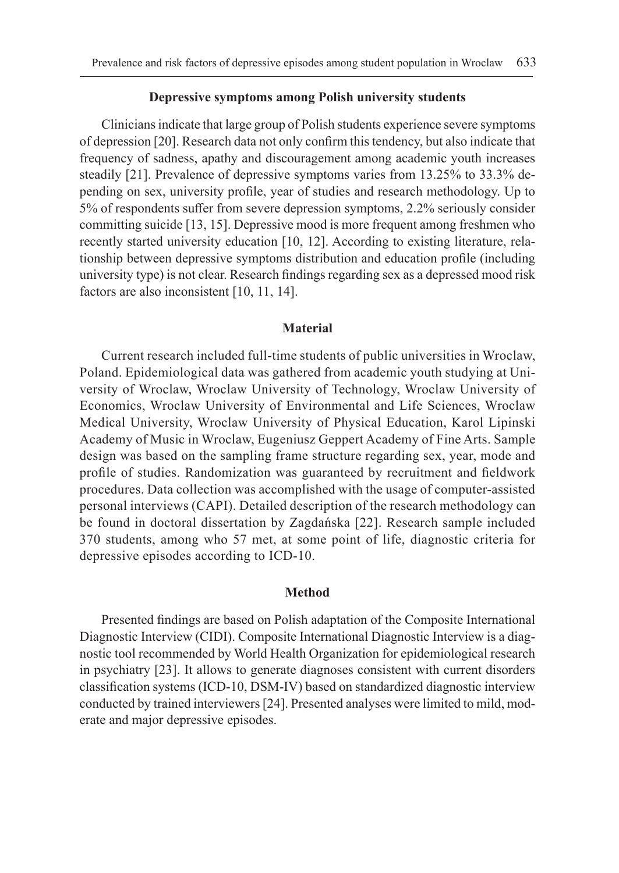## **Depressive symptoms among Polish university students**

Clinicians indicate that large group of Polish students experience severe symptoms of depression [20]. Research data not only confirm this tendency, but also indicate that frequency of sadness, apathy and discouragement among academic youth increases steadily [21]. Prevalence of depressive symptoms varies from 13.25% to 33.3% depending on sex, university profile, year of studies and research methodology. Up to 5% of respondents suffer from severe depression symptoms, 2.2% seriously consider committing suicide [13, 15]. Depressive mood is more frequent among freshmen who recently started university education [10, 12]. According to existing literature, relationship between depressive symptoms distribution and education profile (including university type) is not clear. Research findings regarding sex as a depressed mood risk factors are also inconsistent [10, 11, 14].

### **Material**

Current research included full-time students of public universities in Wroclaw, Poland. Epidemiological data was gathered from academic youth studying at University of Wroclaw, Wroclaw University of Technology, Wroclaw University of Economics, Wroclaw University of Environmental and Life Sciences, Wroclaw Medical University, Wroclaw University of Physical Education, Karol Lipinski Academy of Music in Wroclaw, Eugeniusz Geppert Academy of Fine Arts. Sample design was based on the sampling frame structure regarding sex, year, mode and profile of studies. Randomization was guaranteed by recruitment and fieldwork procedures. Data collection was accomplished with the usage of computer-assisted personal interviews (CAPI). Detailed description of the research methodology can be found in doctoral dissertation by Zagdańska [22]. Research sample included 370 students, among who 57 met, at some point of life, diagnostic criteria for depressive episodes according to ICD-10.

#### **Method**

Presented findings are based on Polish adaptation of the Composite International Diagnostic Interview (CIDI). Composite International Diagnostic Interview is a diagnostic tool recommended by World Health Organization for epidemiological research in psychiatry [23]. It allows to generate diagnoses consistent with current disorders classification systems (ICD-10, DSM-IV) based on standardized diagnostic interview conducted by trained interviewers [24]. Presented analyses were limited to mild, moderate and major depressive episodes.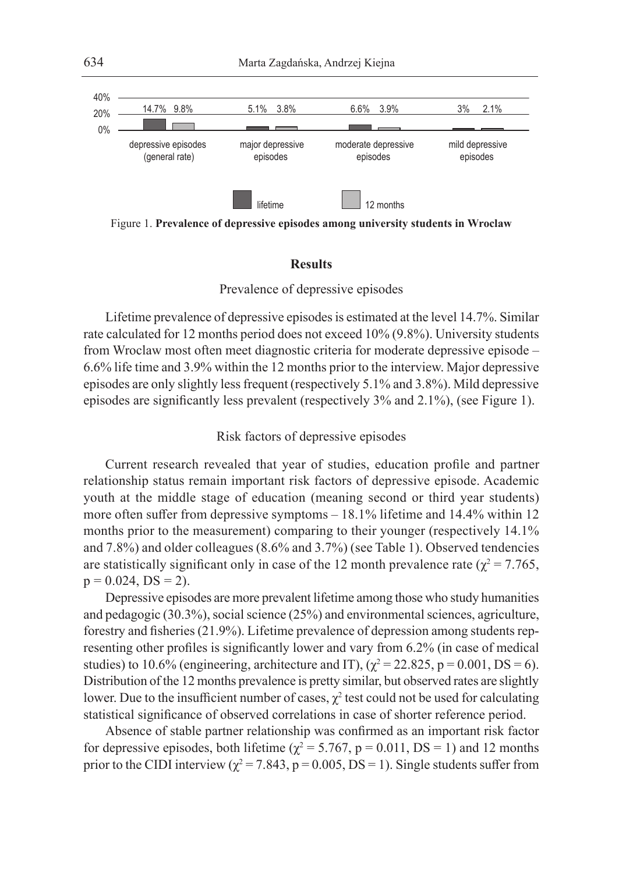

Figure 1. **Prevalence of depressive episodes among university students in Wroclaw**

## **Results**

## Prevalence of depressive episodes

Lifetime prevalence of depressive episodes is estimated at the level 14.7%. Similar rate calculated for 12 months period does not exceed 10% (9.8%). University students from Wroclaw most often meet diagnostic criteria for moderate depressive episode – 6.6% life time and 3.9% within the 12 months prior to the interview. Major depressive episodes are only slightly less frequent (respectively 5.1% and 3.8%). Mild depressive episodes are significantly less prevalent (respectively 3% and 2.1%), (see Figure 1).

## Risk factors of depressive episodes

Current research revealed that year of studies, education profile and partner relationship status remain important risk factors of depressive episode. Academic youth at the middle stage of education (meaning second or third year students) more often suffer from depressive symptoms – 18.1% lifetime and 14.4% within 12 months prior to the measurement) comparing to their younger (respectively 14.1% and 7.8%) and older colleagues (8.6% and 3.7%) (see Table 1). Observed tendencies are statistically significant only in case of the 12 month prevalence rate ( $\chi^2$  = 7.765,  $p = 0.024$ ,  $DS = 2$ ).

Depressive episodes are more prevalent lifetime among those who study humanities and pedagogic (30.3%), social science (25%) and environmental sciences, agriculture, forestry and fisheries (21.9%). Lifetime prevalence of depression among students representing other profiles is significantly lower and vary from 6.2% (in case of medical studies) to 10.6% (engineering, architecture and IT),  $(\chi^2 = 22.825, p = 0.001, DS = 6)$ . Distribution of the 12 months prevalence is pretty similar, but observed rates are slightly lower. Due to the insufficient number of cases,  $\chi^2$  test could not be used for calculating statistical significance of observed correlations in case of shorter reference period.

Absence of stable partner relationship was confirmed as an important risk factor for depressive episodes, both lifetime ( $\chi^2$  = 5.767, p = 0.011, DS = 1) and 12 months prior to the CIDI interview ( $\chi^2$  = 7.843, p = 0.005, DS = 1). Single students suffer from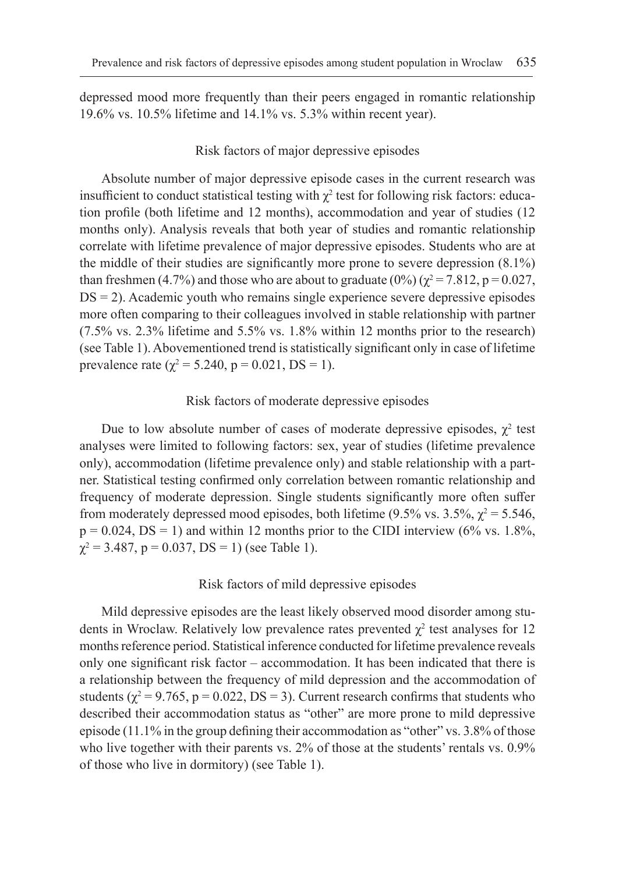depressed mood more frequently than their peers engaged in romantic relationship 19.6% vs. 10.5% lifetime and 14.1% vs. 5.3% within recent year).

## Risk factors of major depressive episodes

Absolute number of major depressive episode cases in the current research was insufficient to conduct statistical testing with  $\chi^2$  test for following risk factors: education profile (both lifetime and 12 months), accommodation and year of studies (12 months only). Analysis reveals that both year of studies and romantic relationship correlate with lifetime prevalence of major depressive episodes. Students who are at the middle of their studies are significantly more prone to severe depression (8.1%) than freshmen (4.7%) and those who are about to graduate (0%) ( $\chi^2 = 7.812$ , p = 0.027,  $DS = 2$ ). Academic youth who remains single experience severe depressive episodes more often comparing to their colleagues involved in stable relationship with partner (7.5% vs. 2.3% lifetime and 5.5% vs. 1.8% within 12 months prior to the research) (see Table 1). Abovementioned trend is statistically significant only in case of lifetime prevalence rate ( $\chi^2$  = 5.240, p = 0.021, DS = 1).

## Risk factors of moderate depressive episodes

Due to low absolute number of cases of moderate depressive episodes,  $\chi^2$  test analyses were limited to following factors: sex, year of studies (lifetime prevalence only), accommodation (lifetime prevalence only) and stable relationship with a partner. Statistical testing confirmed only correlation between romantic relationship and frequency of moderate depression. Single students significantly more often suffer from moderately depressed mood episodes, both lifetime (9.5% vs. 3.5%,  $\chi^2$  = 5.546,  $p = 0.024$ ,  $DS = 1$ ) and within 12 months prior to the CIDI interview (6% vs. 1.8%,  $\chi^2$  = 3.487, p = 0.037, DS = 1) (see Table 1).

#### Risk factors of mild depressive episodes

Mild depressive episodes are the least likely observed mood disorder among students in Wroclaw. Relatively low prevalence rates prevented  $\chi^2$  test analyses for 12 months reference period. Statistical inference conducted for lifetime prevalence reveals only one significant risk factor – accommodation. It has been indicated that there is a relationship between the frequency of mild depression and the accommodation of students ( $\chi^2$  = 9.765, p = 0.022, DS = 3). Current research confirms that students who described their accommodation status as "other" are more prone to mild depressive episode (11.1% in the group defining their accommodation as "other" vs. 3.8% of those who live together with their parents vs. 2% of those at the students' rentals vs. 0.9% of those who live in dormitory) (see Table 1).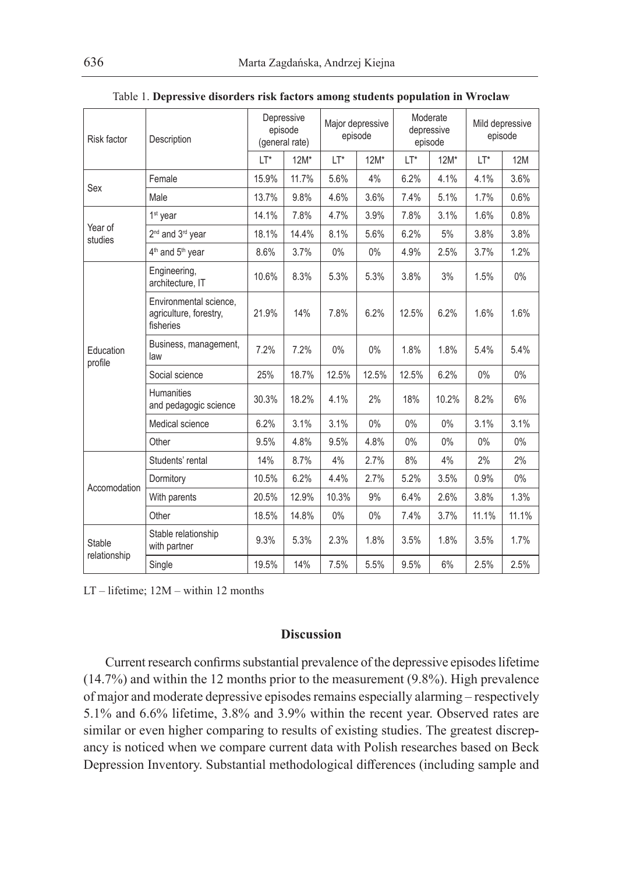| Risk factor                   | Description                                                   | Depressive<br>episode<br>(general rate) |        | Major depressive<br>episode |        | Moderate<br>depressive<br>episode |        | Mild depressive<br>episode |                                                                                                                                                     |
|-------------------------------|---------------------------------------------------------------|-----------------------------------------|--------|-----------------------------|--------|-----------------------------------|--------|----------------------------|-----------------------------------------------------------------------------------------------------------------------------------------------------|
|                               |                                                               | LT*                                     | $12M*$ | LT*                         | $12M*$ | LT*                               | $12M*$ | LT*                        | <b>12M</b><br>3.6%<br>0.6%<br>0.8%<br>3.8%<br>1.2%<br>$0\%$<br>1.6%<br>5.4%<br>$0\%$<br>6%<br>3.1%<br>$0\%$<br>2%<br>$0\%$<br>1.3%<br>11.1%<br>1.7% |
| Sex                           | Female                                                        | 15.9%                                   | 11.7%  | 5.6%                        | 4%     | 6.2%                              | 4.1%   | 4.1%                       |                                                                                                                                                     |
|                               | Male                                                          | 13.7%                                   | 9.8%   | 4.6%                        | 3.6%   | 7.4%                              | 5.1%   | 1.7%                       |                                                                                                                                                     |
| Year of<br>studies            | 1 <sup>st</sup> year                                          | 14.1%                                   | 7.8%   | 4.7%                        | 3.9%   | 7.8%                              | 3.1%   | 1.6%                       |                                                                                                                                                     |
|                               | 2 <sup>nd</sup> and 3 <sup>rd</sup> year                      | 18.1%                                   | 14.4%  | 8.1%                        | 5.6%   | 6.2%                              | 5%     | 3.8%                       |                                                                                                                                                     |
|                               | 4 <sup>th</sup> and 5 <sup>th</sup> year                      | 8.6%                                    | 3.7%   | $0\%$                       | $0\%$  | 4.9%                              | 2.5%   | 3.7%                       |                                                                                                                                                     |
| Education<br>profile          | Engineering,<br>architecture, IT                              | 10.6%                                   | 8.3%   | 5.3%                        | 5.3%   | 3.8%                              | 3%     | 1.5%                       |                                                                                                                                                     |
|                               | Environmental science,<br>agriculture, forestry,<br>fisheries | 21.9%                                   | 14%    | 7.8%                        | 6.2%   | 12.5%                             | 6.2%   | 1.6%                       |                                                                                                                                                     |
|                               | Business, management,<br>law                                  | 7.2%                                    | 7.2%   | 0%                          | 0%     | 1.8%                              | 1.8%   | 5.4%                       |                                                                                                                                                     |
|                               | Social science                                                | 25%                                     | 18.7%  | 12.5%                       | 12.5%  | 12.5%                             | 6.2%   | 0%                         |                                                                                                                                                     |
|                               | <b>Humanities</b><br>and pedagogic science                    | 30.3%                                   | 18.2%  | 4.1%                        | 2%     | 18%                               | 10.2%  | 8.2%                       |                                                                                                                                                     |
|                               | Medical science                                               | 6.2%                                    | 3.1%   | 3.1%                        | 0%     | 0%                                | 0%     | 3.1%                       |                                                                                                                                                     |
|                               | Other                                                         | 9.5%                                    | 4.8%   | 9.5%                        | 4.8%   | $0\%$                             | 0%     | 0%                         |                                                                                                                                                     |
| Accomodation                  | Students' rental                                              | 14%                                     | 8.7%   | 4%                          | 2.7%   | 8%                                | 4%     | 2%                         |                                                                                                                                                     |
|                               | Dormitory                                                     | 10.5%                                   | 6.2%   | 4.4%                        | 2.7%   | 5.2%                              | 3.5%   | 0.9%                       |                                                                                                                                                     |
|                               | With parents                                                  | 20.5%                                   | 12.9%  | 10.3%                       | 9%     | 6.4%                              | 2.6%   | 3.8%                       |                                                                                                                                                     |
|                               | Other                                                         | 18.5%                                   | 14.8%  | $0\%$                       | $0\%$  | 7.4%                              | 3.7%   | 11.1%                      |                                                                                                                                                     |
| <b>Stable</b><br>relationship | Stable relationship<br>with partner                           | 9.3%                                    | 5.3%   | 2.3%                        | 1.8%   | 3.5%                              | 1.8%   | 3.5%                       |                                                                                                                                                     |
|                               | Single                                                        | 19.5%                                   | 14%    | 7.5%                        | 5.5%   | 9.5%                              | 6%     | 2.5%                       | 2.5%                                                                                                                                                |

| Table 1. Depressive disorders risk factors among students population in Wroclaw |  |  |  |  |
|---------------------------------------------------------------------------------|--|--|--|--|
|---------------------------------------------------------------------------------|--|--|--|--|

LT – lifetime; 12M – within 12 months

## **Discussion**

Current research confirms substantial prevalence of the depressive episodes lifetime (14.7%) and within the 12 months prior to the measurement (9.8%). High prevalence of major and moderate depressive episodes remains especially alarming – respectively 5.1% and 6.6% lifetime, 3.8% and 3.9% within the recent year. Observed rates are similar or even higher comparing to results of existing studies. The greatest discrepancy is noticed when we compare current data with Polish researches based on Beck Depression Inventory. Substantial methodological differences (including sample and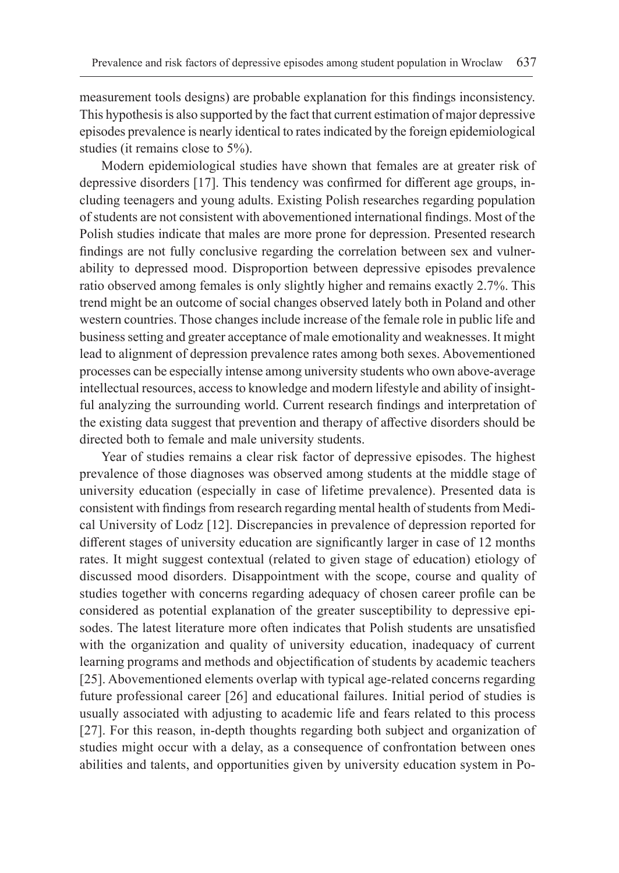measurement tools designs) are probable explanation for this findings inconsistency. This hypothesis is also supported by the fact that current estimation of major depressive episodes prevalence is nearly identical to rates indicated by the foreign epidemiological studies (it remains close to 5%).

Modern epidemiological studies have shown that females are at greater risk of depressive disorders [17]. This tendency was confirmed for different age groups, including teenagers and young adults. Existing Polish researches regarding population of students are not consistent with abovementioned international findings. Most of the Polish studies indicate that males are more prone for depression. Presented research findings are not fully conclusive regarding the correlation between sex and vulnerability to depressed mood. Disproportion between depressive episodes prevalence ratio observed among females is only slightly higher and remains exactly 2.7%. This trend might be an outcome of social changes observed lately both in Poland and other western countries. Those changes include increase of the female role in public life and business setting and greater acceptance of male emotionality and weaknesses. It might lead to alignment of depression prevalence rates among both sexes. Abovementioned processes can be especially intense among university students who own above-average intellectual resources, access to knowledge and modern lifestyle and ability of insightful analyzing the surrounding world. Current research findings and interpretation of the existing data suggest that prevention and therapy of affective disorders should be directed both to female and male university students.

Year of studies remains a clear risk factor of depressive episodes. The highest prevalence of those diagnoses was observed among students at the middle stage of university education (especially in case of lifetime prevalence). Presented data is consistent with findings from research regarding mental health of students from Medical University of Lodz [12]. Discrepancies in prevalence of depression reported for different stages of university education are significantly larger in case of 12 months rates. It might suggest contextual (related to given stage of education) etiology of discussed mood disorders. Disappointment with the scope, course and quality of studies together with concerns regarding adequacy of chosen career profile can be considered as potential explanation of the greater susceptibility to depressive episodes. The latest literature more often indicates that Polish students are unsatisfied with the organization and quality of university education, inadequacy of current learning programs and methods and objectification of students by academic teachers [25]. Abovementioned elements overlap with typical age-related concerns regarding future professional career [26] and educational failures. Initial period of studies is usually associated with adjusting to academic life and fears related to this process [27]. For this reason, in-depth thoughts regarding both subject and organization of studies might occur with a delay, as a consequence of confrontation between ones abilities and talents, and opportunities given by university education system in Po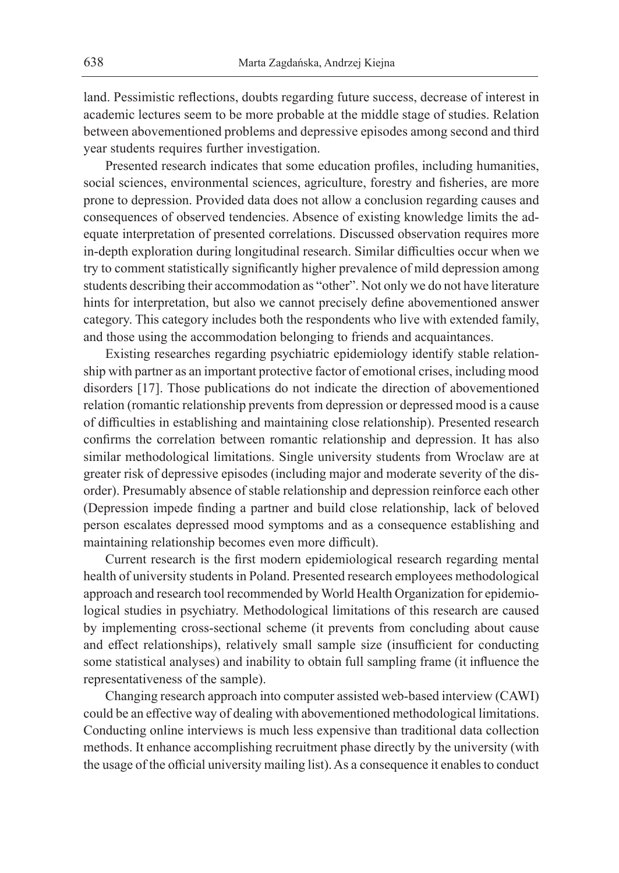land. Pessimistic reflections, doubts regarding future success, decrease of interest in academic lectures seem to be more probable at the middle stage of studies. Relation between abovementioned problems and depressive episodes among second and third year students requires further investigation.

Presented research indicates that some education profiles, including humanities, social sciences, environmental sciences, agriculture, forestry and fisheries, are more prone to depression. Provided data does not allow a conclusion regarding causes and consequences of observed tendencies. Absence of existing knowledge limits the adequate interpretation of presented correlations. Discussed observation requires more in-depth exploration during longitudinal research. Similar difficulties occur when we try to comment statistically significantly higher prevalence of mild depression among students describing their accommodation as "other". Not only we do not have literature hints for interpretation, but also we cannot precisely define abovementioned answer category. This category includes both the respondents who live with extended family, and those using the accommodation belonging to friends and acquaintances.

Existing researches regarding psychiatric epidemiology identify stable relationship with partner as an important protective factor of emotional crises, including mood disorders [17]. Those publications do not indicate the direction of abovementioned relation (romantic relationship prevents from depression or depressed mood is a cause of difficulties in establishing and maintaining close relationship). Presented research confirms the correlation between romantic relationship and depression. It has also similar methodological limitations. Single university students from Wroclaw are at greater risk of depressive episodes (including major and moderate severity of the disorder). Presumably absence of stable relationship and depression reinforce each other (Depression impede finding a partner and build close relationship, lack of beloved person escalates depressed mood symptoms and as a consequence establishing and maintaining relationship becomes even more difficult).

Current research is the first modern epidemiological research regarding mental health of university students in Poland. Presented research employees methodological approach and research tool recommended by World Health Organization for epidemiological studies in psychiatry. Methodological limitations of this research are caused by implementing cross-sectional scheme (it prevents from concluding about cause and effect relationships), relatively small sample size (insufficient for conducting some statistical analyses) and inability to obtain full sampling frame (it influence the representativeness of the sample).

Changing research approach into computer assisted web-based interview (CAWI) could be an effective way of dealing with abovementioned methodological limitations. Conducting online interviews is much less expensive than traditional data collection methods. It enhance accomplishing recruitment phase directly by the university (with the usage of the official university mailing list). As a consequence it enables to conduct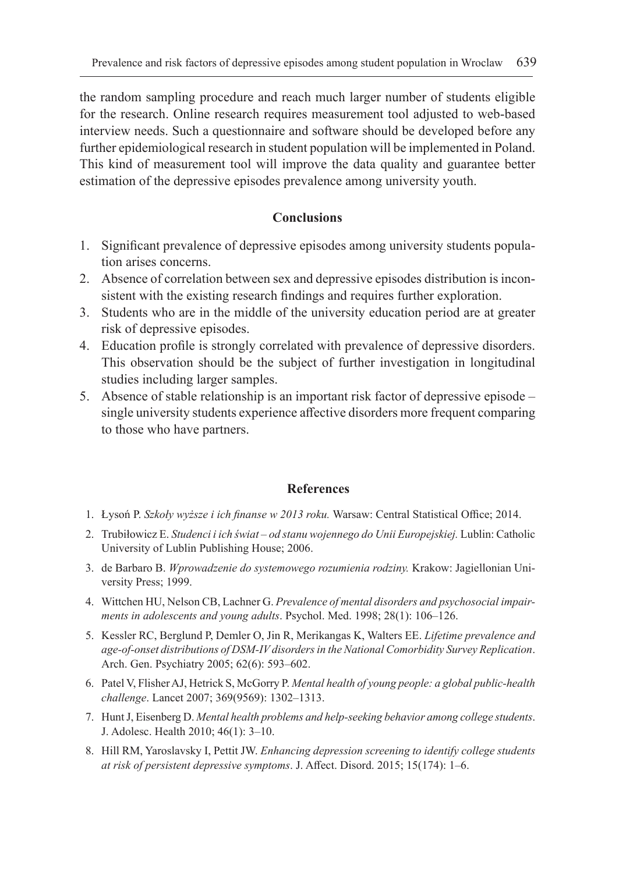the random sampling procedure and reach much larger number of students eligible for the research. Online research requires measurement tool adjusted to web-based interview needs. Such a questionnaire and software should be developed before any further epidemiological research in student population will be implemented in Poland. This kind of measurement tool will improve the data quality and guarantee better estimation of the depressive episodes prevalence among university youth.

## **Conclusions**

- 1. Significant prevalence of depressive episodes among university students population arises concerns.
- 2. Absence of correlation between sex and depressive episodes distribution is inconsistent with the existing research findings and requires further exploration.
- 3. Students who are in the middle of the university education period are at greater risk of depressive episodes.
- 4. Education profile is strongly correlated with prevalence of depressive disorders. This observation should be the subject of further investigation in longitudinal studies including larger samples.
- 5. Absence of stable relationship is an important risk factor of depressive episode single university students experience affective disorders more frequent comparing to those who have partners.

## **References**

- 1. Łysoń P. *Szkoły wyższe i ich finanse w 2013 roku.* Warsaw: Central Statistical Office; 2014.
- 2. Trubiłowicz E. *Studenci i ich świat od stanu wojennego do Unii Europejskiej.* Lublin: Catholic University of Lublin Publishing House; 2006.
- 3. de Barbaro B. *Wprowadzenie do systemowego rozumienia rodziny.* Krakow: Jagiellonian University Press; 1999.
- 4. Wittchen HU, Nelson CB, Lachner G. *Prevalence of mental disorders and psychosocial impairments in adolescents and young adults*. Psychol. Med. 1998; 28(1): 106–126.
- 5. Kessler RC, Berglund P, Demler O, Jin R, Merikangas K, Walters EE. *Lifetime prevalence and age-of-onset distributions of DSM-IV disorders in the National Comorbidity Survey Replication*. Arch. Gen. Psychiatry 2005; 62(6): 593–602.
- 6. Patel V, Flisher AJ, Hetrick S, McGorry P. *Mental health of young people: a global public-health challenge*. Lancet 2007; 369(9569): 1302–1313.
- 7. Hunt J, Eisenberg D. *Mental health problems and help-seeking behavior among college students*. J. Adolesc. Health 2010; 46(1): 3–10.
- 8. Hill RM, Yaroslavsky I, Pettit JW. *Enhancing depression screening to identify college students at risk of persistent depressive symptoms*. J. Affect. Disord. 2015; 15(174): 1–6.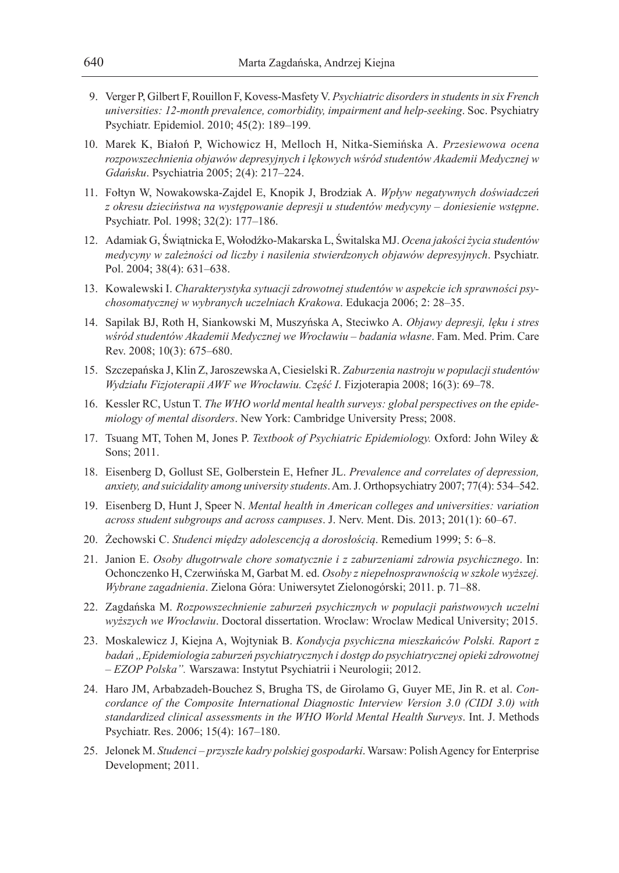- 9. Verger P, Gilbert F, Rouillon F, Kovess-Masfety V. *Psychiatric disorders in students in six French universities: 12-month prevalence, comorbidity, impairment and help-seeking*. Soc. Psychiatry Psychiatr. Epidemiol. 2010; 45(2): 189–199.
- 10. Marek K, Białoń P, Wichowicz H, Melloch H, Nitka-Siemińska A. *Przesiewowa ocena rozpowszechnienia objawów depresyjnych i lękowych wśród studentów Akademii Medycznej w Gdańsku*. Psychiatria 2005; 2(4): 217–224.
- 11. Fołtyn W, Nowakowska-Zajdel E, Knopik J, Brodziak A. *Wpływ negatywnych doświadczeń z okresu dzieciństwa na występowanie depresji u studentów medycyny – doniesienie wstępne*. Psychiatr. Pol. 1998; 32(2): 177–186.
- 12. Adamiak G, Świątnicka E, Wołodźko-Makarska L, Świtalska MJ. *Ocena jakości życia studentów medycyny w zależności od liczby i nasilenia stwierdzonych objawów depresyjnych*. Psychiatr. Pol. 2004; 38(4): 631–638.
- 13. Kowalewski I. *Charakterystyka sytuacji zdrowotnej studentów w aspekcie ich sprawności psychosomatycznej w wybranych uczelniach Krakowa*. Edukacja 2006; 2: 28–35.
- 14. Sapilak BJ, Roth H, Siankowski M, Muszyńska A, Steciwko A. *Objawy depresji, lęku i stres wśród studentów Akademii Medycznej we Wrocławiu – badania własne*. Fam. Med. Prim. Care Rev. 2008; 10(3): 675–680.
- 15. Szczepańska J, Klin Z, Jaroszewska A, Ciesielski R. *Zaburzenia nastroju w populacji studentów Wydziału Fizjoterapii AWF we Wrocławiu. Część I*. Fizjoterapia 2008; 16(3): 69–78.
- 16. Kessler RC, Ustun T. *The WHO world mental health surveys: global perspectives on the epidemiology of mental disorders*. New York: Cambridge University Press; 2008.
- 17. Tsuang MT, Tohen M, Jones P. *Textbook of Psychiatric Epidemiology.* Oxford: John Wiley & Sons; 2011.
- 18. Eisenberg D, Gollust SE, Golberstein E, Hefner JL. *Prevalence and correlates of depression, anxiety, and suicidality among university students*. Am. J. Orthopsychiatry 2007; 77(4): 534–542.
- 19. Eisenberg D, Hunt J, Speer N. *Mental health in American colleges and universities: variation across student subgroups and across campuses*. J. Nerv. Ment. Dis. 2013; 201(1): 60–67.
- 20. Żechowski C. *Studenci między adolescencją a dorosłością*. Remedium 1999; 5: 6–8.
- 21. Janion E. *Osoby długotrwale chore somatycznie i z zaburzeniami zdrowia psychicznego*. In: Ochonczenko H, Czerwińska M, Garbat M. ed. *Osoby z niepełnosprawnością w szkole wyższej. Wybrane zagadnienia*. Zielona Góra: Uniwersytet Zielonogórski; 2011. p. 71–88.
- 22. Zagdańska M. *Rozpowszechnienie zaburzeń psychicznych w populacji państwowych uczelni wyższych we Wrocławiu*. Doctoral dissertation. Wroclaw: Wroclaw Medical University; 2015.
- 23. Moskalewicz J, Kiejna A, Wojtyniak B. *Kondycja psychiczna mieszkańców Polski. Raport z badań "Epidemiologia zaburzeń psychiatrycznych i dostęp do psychiatrycznej opieki zdrowotnej – EZOP Polska".* Warszawa: Instytut Psychiatrii i Neurologii; 2012.
- 24. Haro JM, Arbabzadeh-Bouchez S, Brugha TS, de Girolamo G, Guyer ME, Jin R. et al. *Concordance of the Composite International Diagnostic Interview Version 3.0 (CIDI 3.0) with standardized clinical assessments in the WHO World Mental Health Surveys*. Int. J. Methods Psychiatr. Res. 2006; 15(4): 167–180.
- 25. Jelonek M. *Studenci przyszłe kadry polskiej gospodarki*. Warsaw: Polish Agency for Enterprise Development; 2011.